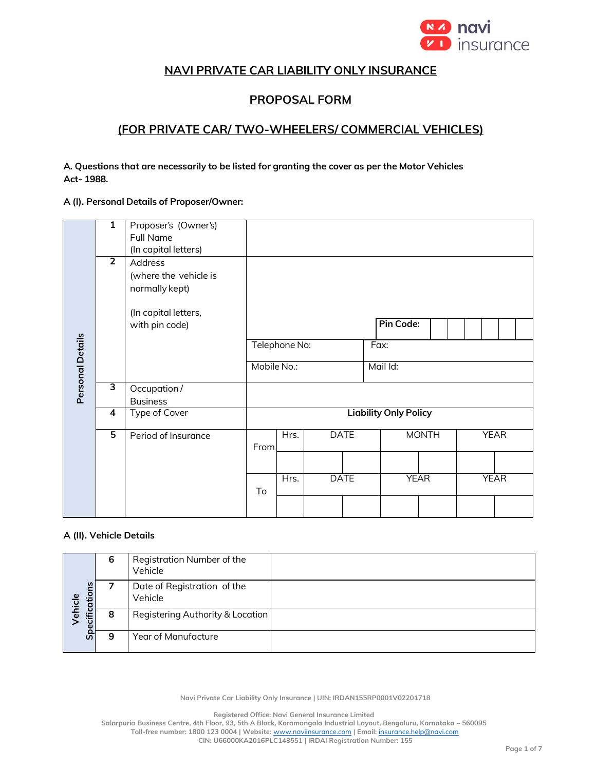

## **NAVI PRIVATE CAR LIABILITY ONLY INSURANCE**

# **PROPOSAL FORM**

# **(FOR PRIVATE CAR/ TWO-WHEELERS/ COMMERCIAL VEHICLES)**

**A. Questions that are necessarily to be listed for granting the cover as per the Motor Vehicles Act- 1988.**

#### **A (I). Personal Details of Proposer/Owner:**

|                  | $\overline{1}$ | Proposer's (Owner's)  |                              |               |             |             |           |              |             |  |             |  |  |
|------------------|----------------|-----------------------|------------------------------|---------------|-------------|-------------|-----------|--------------|-------------|--|-------------|--|--|
|                  |                | <b>Full Name</b>      |                              |               |             |             |           |              |             |  |             |  |  |
|                  |                | (In capital letters)  |                              |               |             |             |           |              |             |  |             |  |  |
|                  | $\overline{2}$ | Address               |                              |               |             |             |           |              |             |  |             |  |  |
|                  |                |                       |                              |               |             |             |           |              |             |  |             |  |  |
|                  |                | (where the vehicle is |                              |               |             |             |           |              |             |  |             |  |  |
|                  |                | normally kept)        |                              |               |             |             |           |              |             |  |             |  |  |
|                  |                | (In capital letters,  |                              |               |             |             |           |              |             |  |             |  |  |
|                  |                |                       |                              |               |             |             | Pin Code: |              |             |  |             |  |  |
|                  |                | with pin code)        |                              |               |             |             |           |              |             |  |             |  |  |
|                  |                |                       |                              | Telephone No: |             |             | Fax:      |              |             |  |             |  |  |
|                  |                |                       |                              |               |             |             |           |              |             |  |             |  |  |
| Personal Details |                |                       | Mobile No.:                  |               |             |             | Mail Id:  |              |             |  |             |  |  |
|                  | 3              | Occupation /          |                              |               |             |             |           |              |             |  |             |  |  |
|                  |                | <b>Business</b>       |                              |               |             |             |           |              |             |  |             |  |  |
|                  | 4              | <b>Type of Cover</b>  | <b>Liability Only Policy</b> |               |             |             |           |              |             |  |             |  |  |
|                  |                |                       |                              |               |             |             |           |              |             |  |             |  |  |
|                  | 5              | Period of Insurance   |                              | Hrs.          |             | <b>DATE</b> |           | <b>MONTH</b> |             |  | <b>YEAR</b> |  |  |
|                  |                |                       | From                         |               |             |             |           |              |             |  |             |  |  |
|                  |                |                       |                              |               |             |             |           |              |             |  |             |  |  |
|                  |                |                       |                              |               |             |             |           |              |             |  |             |  |  |
|                  |                |                       |                              | Hrs.          | <b>DATE</b> |             |           | <b>YEAR</b>  | <b>YEAR</b> |  |             |  |  |
|                  |                |                       | To                           |               |             |             |           |              |             |  |             |  |  |
|                  |                |                       |                              |               |             |             |           |              |             |  |             |  |  |
|                  |                |                       |                              |               |             |             |           |              |             |  |             |  |  |

### **A (II). Vehicle Details**

| Specifications<br>ehicle | 6 | Registration Number of the<br>Vehicle  |
|--------------------------|---|----------------------------------------|
|                          |   | Date of Registration of the<br>Vehicle |
|                          | 8 | Registering Authority & Location       |
|                          | 9 | Year of Manufacture                    |

**Navi Private Car Liability Only Insurance | UIN: IRDAN155RP0001V02201718**

**Registered Office: Navi General Insurance Limited**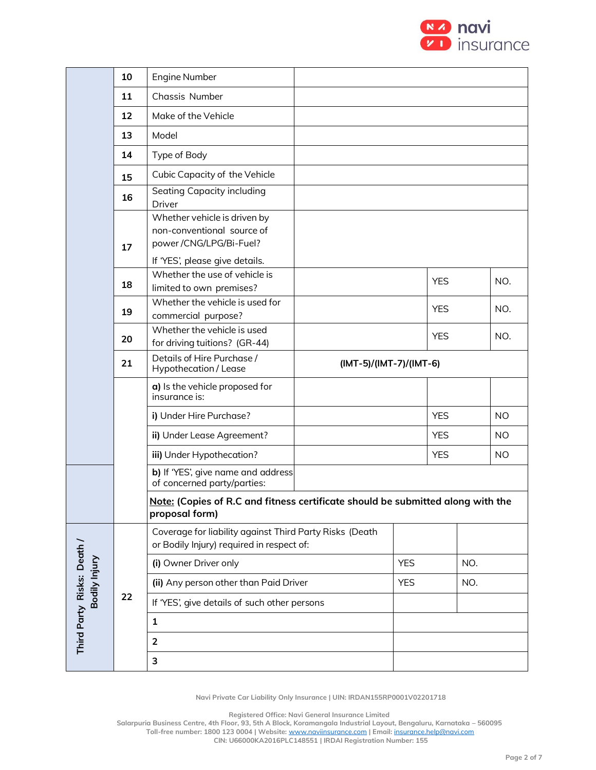

|                           | 10 | Engine Number                                                                                                          |            |                         |            |           |           |  |  |
|---------------------------|----|------------------------------------------------------------------------------------------------------------------------|------------|-------------------------|------------|-----------|-----------|--|--|
|                           | 11 | Chassis Number                                                                                                         |            |                         |            |           |           |  |  |
|                           | 12 | Make of the Vehicle                                                                                                    |            |                         |            |           |           |  |  |
|                           | 13 | Model                                                                                                                  |            |                         |            |           |           |  |  |
|                           | 14 | Type of Body                                                                                                           |            |                         |            |           |           |  |  |
|                           | 15 | Cubic Capacity of the Vehicle                                                                                          |            |                         |            |           |           |  |  |
|                           | 16 | Seating Capacity including<br>Driver                                                                                   |            |                         |            |           |           |  |  |
|                           | 17 | Whether vehicle is driven by<br>non-conventional source of<br>power/CNG/LPG/Bi-Fuel?<br>If 'YES', please give details. |            |                         |            |           |           |  |  |
|                           | 18 | Whether the use of vehicle is<br>limited to own premises?                                                              |            | <b>YES</b>              |            | NO.       |           |  |  |
|                           | 19 | Whether the vehicle is used for<br>commercial purpose?                                                                 |            |                         | <b>YES</b> |           | NO.       |  |  |
|                           | 20 | Whether the vehicle is used<br>for driving tuitions? (GR-44)                                                           |            |                         | <b>YES</b> |           | NO.       |  |  |
|                           | 21 | Details of Hire Purchase /<br>Hypothecation / Lease                                                                    |            | (IMT-5)/(IMT-7)/(IMT-6) |            |           |           |  |  |
|                           |    | a) Is the vehicle proposed for<br>insurance is:                                                                        |            |                         |            |           |           |  |  |
|                           |    | i) Under Hire Purchase?                                                                                                |            | <b>YES</b>              |            | <b>NO</b> |           |  |  |
|                           |    | ii) Under Lease Agreement?                                                                                             |            |                         | <b>YES</b> |           | <b>NO</b> |  |  |
|                           |    | iii) Under Hypothecation?                                                                                              |            |                         | <b>YES</b> |           | <b>NO</b> |  |  |
|                           |    | b) If 'YES', give name and address<br>of concerned party/parties:                                                      |            |                         |            |           |           |  |  |
|                           |    | Note: (Copies of R.C and fitness certificate should be submitted along with the<br>proposal form)                      |            |                         |            |           |           |  |  |
|                           |    | Coverage for liability against Third Party Risks (Death<br>or Bodily Injury) required in respect of:                   |            |                         |            |           |           |  |  |
|                           |    | (i) Owner Driver only                                                                                                  | <b>YES</b> |                         | NO.        |           |           |  |  |
| Bodily Injury             |    | (ii) Any person other than Paid Driver                                                                                 | <b>YES</b> |                         | NO.        |           |           |  |  |
|                           | 22 | If 'YES', give details of such other persons                                                                           |            |                         |            |           |           |  |  |
| Third Party Risks: Death/ |    | $\mathbf{1}$                                                                                                           |            |                         |            |           |           |  |  |
|                           |    | $\overline{2}$                                                                                                         |            |                         |            |           |           |  |  |
|                           |    | 3                                                                                                                      |            |                         |            |           |           |  |  |
|                           |    |                                                                                                                        |            |                         |            |           |           |  |  |

**Registered Office: Navi General Insurance Limited**

**Salarpuria Business Centre, 4th Floor, 93, 5th A Block, Koramangala Industrial Layout, Bengaluru, Karnataka – 560095 Toll-free number: 1800 123 0004 | Website:** [www.naviinsurance.com](http://www.naviinsurance.com/) **| Email:** [insurance.help@navi.com](mailto:insurance.help@navi.com)

**CIN: U66000KA2016PLC148551 | IRDAI Registration Number: 155**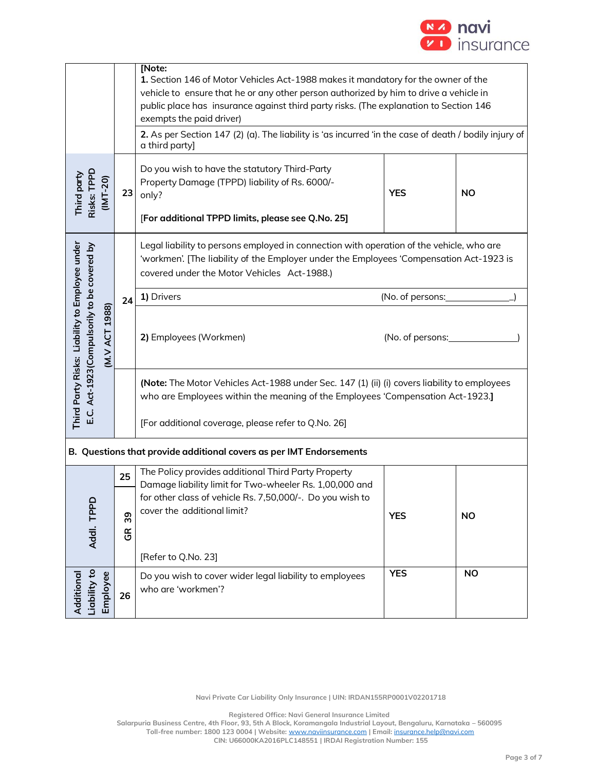

|                                                                                                                           |                                                                                                                                                | <b>Note:</b><br>1. Section 146 of Motor Vehicles Act-1988 makes it mandatory for the owner of the<br>vehicle to ensure that he or any other person authorized by him to drive a vehicle in<br>public place has insurance against third party risks. (The explanation to Section 146<br>exempts the paid driver)<br>2. As per Section 147 (2) (a). The liability is 'as incurred 'in the case of death / bodily injury of<br>a third party]<br>Do you wish to have the statutory Third-Party |                  |           |  |  |  |  |
|---------------------------------------------------------------------------------------------------------------------------|------------------------------------------------------------------------------------------------------------------------------------------------|---------------------------------------------------------------------------------------------------------------------------------------------------------------------------------------------------------------------------------------------------------------------------------------------------------------------------------------------------------------------------------------------------------------------------------------------------------------------------------------------|------------------|-----------|--|--|--|--|
| Third party<br>Risks: TPPD                                                                                                | $(INT-20)$<br>Property Damage (TPPD) liability of Rs. 6000/-<br><b>YES</b><br>23<br>only?<br>[For additional TPPD limits, please see Q.No. 25] |                                                                                                                                                                                                                                                                                                                                                                                                                                                                                             |                  |           |  |  |  |  |
|                                                                                                                           |                                                                                                                                                | Legal liability to persons employed in connection with operation of the vehicle, who are<br>'workmen'. [The liability of the Employer under the Employees 'Compensation Act-1923 is<br>covered under the Motor Vehicles Act-1988.)                                                                                                                                                                                                                                                          |                  |           |  |  |  |  |
|                                                                                                                           | 24                                                                                                                                             | 1) Drivers                                                                                                                                                                                                                                                                                                                                                                                                                                                                                  | (No. of persons: |           |  |  |  |  |
| Third Party Risks: Liability to Employee under<br>E.C. Act-1923(Compulsorily to be covered by<br>1988)<br><b>IN.V ACT</b> |                                                                                                                                                | 2) Employees (Workmen)<br>(No. of persons:                                                                                                                                                                                                                                                                                                                                                                                                                                                  |                  |           |  |  |  |  |
|                                                                                                                           |                                                                                                                                                | (Note: The Motor Vehicles Act-1988 under Sec. 147 (1) (ii) (i) covers liability to employees<br>who are Employees within the meaning of the Employees 'Compensation Act-1923.]<br>[For additional coverage, please refer to Q.No. 26]                                                                                                                                                                                                                                                       |                  |           |  |  |  |  |
|                                                                                                                           |                                                                                                                                                | B. Questions that provide additional covers as per IMT Endorsements                                                                                                                                                                                                                                                                                                                                                                                                                         |                  |           |  |  |  |  |
|                                                                                                                           | 25                                                                                                                                             | The Policy provides additional Third Party Property                                                                                                                                                                                                                                                                                                                                                                                                                                         |                  |           |  |  |  |  |
| Addl. TPPD                                                                                                                | 39<br>$\frac{\alpha}{\sigma}$                                                                                                                  | Damage liability limit for Two-wheeler Rs. 1,00,000 and<br>for other class of vehicle Rs. 7,50,000/-. Do you wish to<br>cover the additional limit?                                                                                                                                                                                                                                                                                                                                         | <b>YES</b>       | <b>NO</b> |  |  |  |  |
|                                                                                                                           |                                                                                                                                                | [Refer to Q.No. 23]                                                                                                                                                                                                                                                                                                                                                                                                                                                                         |                  |           |  |  |  |  |
| Liability to<br>Employee<br>Additional                                                                                    | 26                                                                                                                                             | Do you wish to cover wider legal liability to employees<br>who are 'workmen'?                                                                                                                                                                                                                                                                                                                                                                                                               | <b>YES</b>       | <b>NO</b> |  |  |  |  |

**Registered Office: Navi General Insurance Limited**

**Salarpuria Business Centre, 4th Floor, 93, 5th A Block, Koramangala Industrial Layout, Bengaluru, Karnataka – 560095**

**Toll-free number: 1800 123 0004 | Website:** [www.naviinsurance.com](http://www.naviinsurance.com/) **| Email:** [insurance.help@navi.com](mailto:insurance.help@navi.com) **CIN: U66000KA2016PLC148551 | IRDAI Registration Number: 155**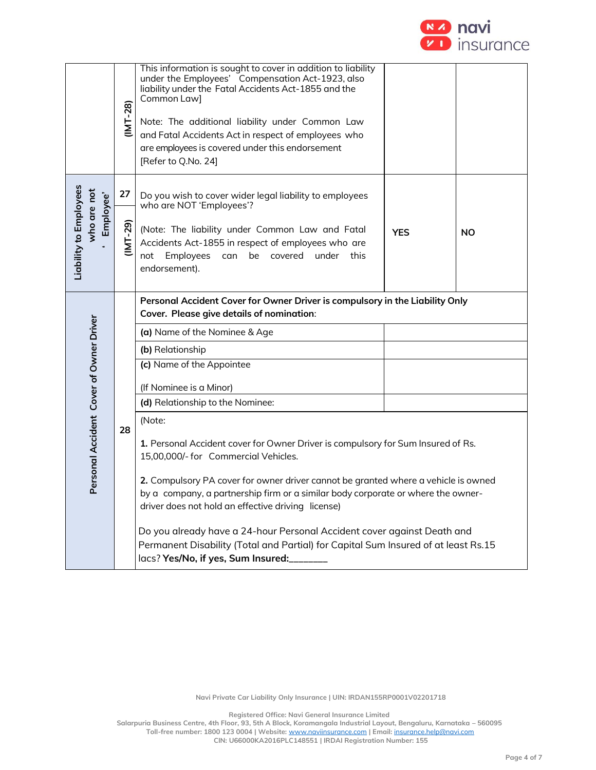

|                                                    | $(NT-28)$        | This information is sought to cover in addition to liability<br>under the Employees' Compensation Act-1923, also<br>liability under the Fatal Accidents Act-1855 and the<br>Common Law]<br>Note: The additional liability under Common Law<br>and Fatal Accidents Act in respect of employees who<br>are employees is covered under this endorsement<br>[Refer to Q.No. 24]                                                                                                                                                                                                                                                                                                                                                                                                                                       |            |           |  |  |  |  |
|----------------------------------------------------|------------------|-------------------------------------------------------------------------------------------------------------------------------------------------------------------------------------------------------------------------------------------------------------------------------------------------------------------------------------------------------------------------------------------------------------------------------------------------------------------------------------------------------------------------------------------------------------------------------------------------------------------------------------------------------------------------------------------------------------------------------------------------------------------------------------------------------------------|------------|-----------|--|--|--|--|
| Liability to Employees<br>who are not<br>Employee' | 27<br>$(1MT-29)$ | Do you wish to cover wider legal liability to employees<br>who are NOT 'Employees'?<br>(Note: The liability under Common Law and Fatal<br>Accidents Act-1855 in respect of employees who are<br>Employees can<br>be covered under this<br>not<br>endorsement).                                                                                                                                                                                                                                                                                                                                                                                                                                                                                                                                                    | <b>YES</b> | <b>NO</b> |  |  |  |  |
| Personal Accident Cover of Owner Driver            | 28               | Personal Accident Cover for Owner Driver is compulsory in the Liability Only<br>Cover. Please give details of nomination:<br>(a) Name of the Nominee & Age<br>(b) Relationship<br>(c) Name of the Appointee<br>(If Nominee is a Minor)<br>(d) Relationship to the Nominee:<br>(Note:<br>1. Personal Accident cover for Owner Driver is compulsory for Sum Insured of Rs.<br>15,00,000/- for Commercial Vehicles.<br>2. Compulsory PA cover for owner driver cannot be granted where a vehicle is owned<br>by a company, a partnership firm or a similar body corporate or where the owner-<br>driver does not hold an effective driving license)<br>Do you already have a 24-hour Personal Accident cover against Death and<br>Permanent Disability (Total and Partial) for Capital Sum Insured of at least Rs.15 |            |           |  |  |  |  |

**Registered Office: Navi General Insurance Limited**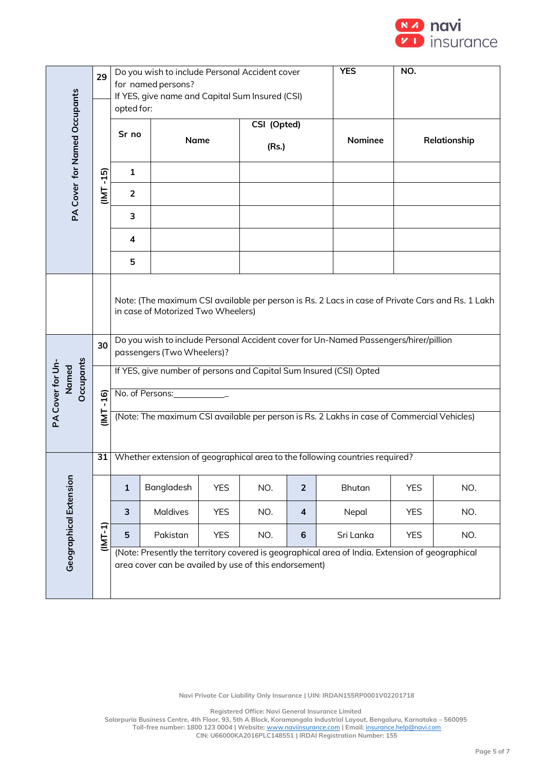

|                                              | 29                                                                                                                                                                                                                                                                                                                                                                                            |                | Do you wish to include Personal Accident cover<br>for named persons? |             | <b>YES</b>  | NO.            |                                                                                                 |            |                                                                                            |
|----------------------------------------------|-----------------------------------------------------------------------------------------------------------------------------------------------------------------------------------------------------------------------------------------------------------------------------------------------------------------------------------------------------------------------------------------------|----------------|----------------------------------------------------------------------|-------------|-------------|----------------|-------------------------------------------------------------------------------------------------|------------|--------------------------------------------------------------------------------------------|
|                                              |                                                                                                                                                                                                                                                                                                                                                                                               |                | If YES, give name and Capital Sum Insured (CSI)                      |             |             |                |                                                                                                 |            |                                                                                            |
| PA Cover for Named Occupants                 |                                                                                                                                                                                                                                                                                                                                                                                               | opted for:     |                                                                      |             | CSI (Opted) |                |                                                                                                 |            |                                                                                            |
|                                              |                                                                                                                                                                                                                                                                                                                                                                                               | Sr no          |                                                                      | <b>Name</b> |             |                | Nominee                                                                                         |            | Relationship                                                                               |
|                                              | $-15$                                                                                                                                                                                                                                                                                                                                                                                         | $\mathbf{1}$   |                                                                      |             |             |                |                                                                                                 |            |                                                                                            |
|                                              | IML                                                                                                                                                                                                                                                                                                                                                                                           | $\overline{2}$ |                                                                      |             |             |                |                                                                                                 |            |                                                                                            |
|                                              |                                                                                                                                                                                                                                                                                                                                                                                               | 3              |                                                                      |             |             |                |                                                                                                 |            |                                                                                            |
|                                              |                                                                                                                                                                                                                                                                                                                                                                                               | 4              |                                                                      |             |             |                |                                                                                                 |            |                                                                                            |
|                                              |                                                                                                                                                                                                                                                                                                                                                                                               | 5              |                                                                      |             |             |                |                                                                                                 |            |                                                                                            |
| <b>Dccupants</b><br>PA Cover for Un<br>Named | Note: (The maximum CSI available per person is Rs. 2 Lacs in case of Private Cars and Rs. 1 Lakh<br>in case of Motorized Two Wheelers)<br>Do you wish to include Personal Accident cover for Un-Named Passengers/hirer/pillion<br>30<br>passengers (Two Wheelers)?<br>If YES, give number of persons and Capital Sum Insured (CSI) Opted<br>No. of Persons: The Contract of Persons:<br>$-16$ |                |                                                                      |             |             |                |                                                                                                 |            | (Note: The maximum CSI available per person is Rs. 2 Lakhs in case of Commercial Vehicles) |
|                                              | <u>T</u>                                                                                                                                                                                                                                                                                                                                                                                      |                |                                                                      |             |             |                |                                                                                                 |            |                                                                                            |
|                                              | 31                                                                                                                                                                                                                                                                                                                                                                                            |                |                                                                      |             |             |                | Whether extension of geographical area to the following countries required?                     |            |                                                                                            |
| <b>Geographical Extension</b>                |                                                                                                                                                                                                                                                                                                                                                                                               | $\mathbf 1$    | Bangladesh                                                           | <b>YES</b>  | NO.         | $\overline{2}$ | <b>Bhutan</b>                                                                                   | <b>YES</b> | NO.                                                                                        |
|                                              |                                                                                                                                                                                                                                                                                                                                                                                               | 3              | <b>Maldives</b>                                                      | <b>YES</b>  | NO.         | $\overline{4}$ | Nepal                                                                                           | <b>YES</b> | NO.                                                                                        |
|                                              | (INT-1)                                                                                                                                                                                                                                                                                                                                                                                       | 5              | Pakistan                                                             | <b>YES</b>  | NO.         | 6              | Sri Lanka                                                                                       | <b>YES</b> | NO.                                                                                        |
|                                              |                                                                                                                                                                                                                                                                                                                                                                                               |                | area cover can be availed by use of this endorsement)                |             |             |                | (Note: Presently the territory covered is geographical area of India. Extension of geographical |            |                                                                                            |

**Registered Office: Navi General Insurance Limited**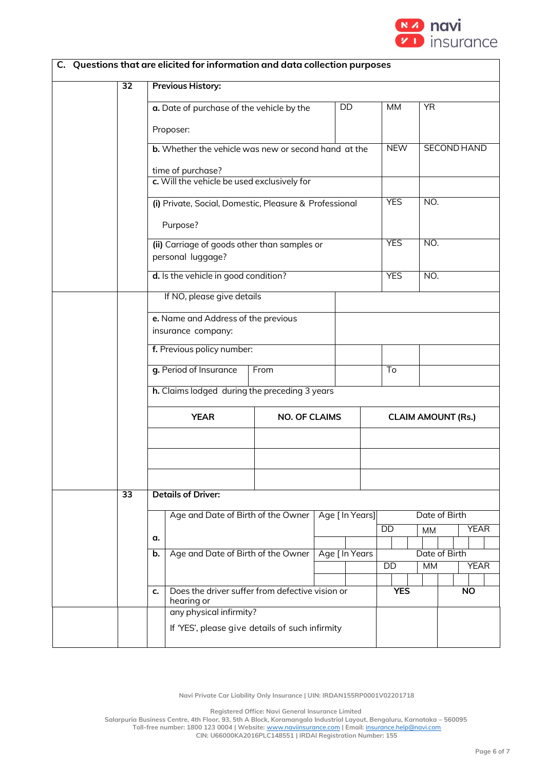

|    |                            |                                                                     | C. Questions that are elicited for information and data collection purposes |                      |  |                |                           |               |           |                    |             |
|----|----------------------------|---------------------------------------------------------------------|-----------------------------------------------------------------------------|----------------------|--|----------------|---------------------------|---------------|-----------|--------------------|-------------|
|    | 32                         | <b>Previous History:</b>                                            |                                                                             |                      |  |                |                           |               |           |                    |             |
|    |                            |                                                                     | a. Date of purchase of the vehicle by the                                   |                      |  | DD             | <b>MM</b>                 | <b>YR</b>     |           |                    |             |
|    |                            |                                                                     | Proposer:                                                                   |                      |  |                |                           |               |           |                    |             |
|    |                            |                                                                     | <b>b.</b> Whether the vehicle was new or second hand at the                 |                      |  |                | <b>NEW</b>                |               |           | <b>SECOND HAND</b> |             |
|    |                            |                                                                     | time of purchase?                                                           |                      |  |                |                           |               |           |                    |             |
|    |                            | c. Will the vehicle be used exclusively for                         |                                                                             |                      |  |                |                           |               |           |                    |             |
|    |                            |                                                                     | (i) Private, Social, Domestic, Pleasure & Professional                      |                      |  |                | <b>YES</b>                | NO.           |           |                    |             |
|    |                            | Purpose?                                                            |                                                                             |                      |  |                |                           |               |           |                    |             |
|    |                            |                                                                     | (ii) Carriage of goods other than samples or<br>personal luggage?           |                      |  |                | <b>YES</b>                | NO.           |           |                    |             |
|    |                            | d. Is the vehicle in good condition?                                |                                                                             |                      |  |                | <b>YES</b>                | NO.           |           |                    |             |
|    | If NO, please give details |                                                                     |                                                                             |                      |  |                |                           |               |           |                    |             |
|    |                            | e. Name and Address of the previous                                 |                                                                             |                      |  |                |                           |               |           |                    |             |
|    |                            |                                                                     | insurance company:                                                          |                      |  |                |                           |               |           |                    |             |
|    |                            | f. Previous policy number:                                          |                                                                             |                      |  |                |                           |               |           |                    |             |
|    |                            |                                                                     | g. Period of Insurance                                                      | From                 |  |                | To                        |               |           |                    |             |
|    |                            |                                                                     | h. Claims lodged during the preceding 3 years                               |                      |  |                |                           |               |           |                    |             |
|    |                            |                                                                     | <b>YEAR</b>                                                                 | <b>NO. OF CLAIMS</b> |  |                | <b>CLAIM AMOUNT (Rs.)</b> |               |           |                    |             |
|    |                            |                                                                     |                                                                             |                      |  |                |                           |               |           |                    |             |
|    |                            |                                                                     |                                                                             |                      |  |                |                           |               |           |                    |             |
|    |                            |                                                                     |                                                                             |                      |  |                |                           |               |           |                    |             |
|    | $\overline{33}$            |                                                                     | <b>Details of Driver:</b>                                                   |                      |  |                |                           |               |           |                    |             |
|    |                            | Age [ In Years]<br>Age and Date of Birth of the Owner               |                                                                             |                      |  |                | Date of Birth             |               |           |                    |             |
| α. |                            |                                                                     |                                                                             |                      |  | DD             | <b>MM</b>                 |               |           | <b>YEAR</b>        |             |
|    |                            | b.                                                                  | Age and Date of Birth of the Owner                                          |                      |  | Age [ In Years |                           | Date of Birth |           |                    |             |
|    |                            |                                                                     |                                                                             |                      |  |                | <b>DD</b>                 | <b>MM</b>     |           |                    | <b>YEAR</b> |
|    |                            | Does the driver suffer from defective vision or<br>c.<br>hearing or |                                                                             |                      |  | <b>YES</b>     |                           |               | <b>NO</b> |                    |             |
|    |                            |                                                                     | any physical infirmity?                                                     |                      |  |                |                           |               |           |                    |             |
|    |                            |                                                                     | If 'YES', please give details of such infirmity                             |                      |  |                |                           |               |           |                    |             |

**Registered Office: Navi General Insurance Limited**

**Salarpuria Business Centre, 4th Floor, 93, 5th A Block, Koramangala Industrial Layout, Bengaluru, Karnataka – 560095 Toll-free number: 1800 123 0004 | Website:** [www.naviinsurance.com](http://www.naviinsurance.com/) **| Email:** [insurance.help@navi.com](mailto:insurance.help@navi.com)

**CIN: U66000KA2016PLC148551 | IRDAI Registration Number: 155**